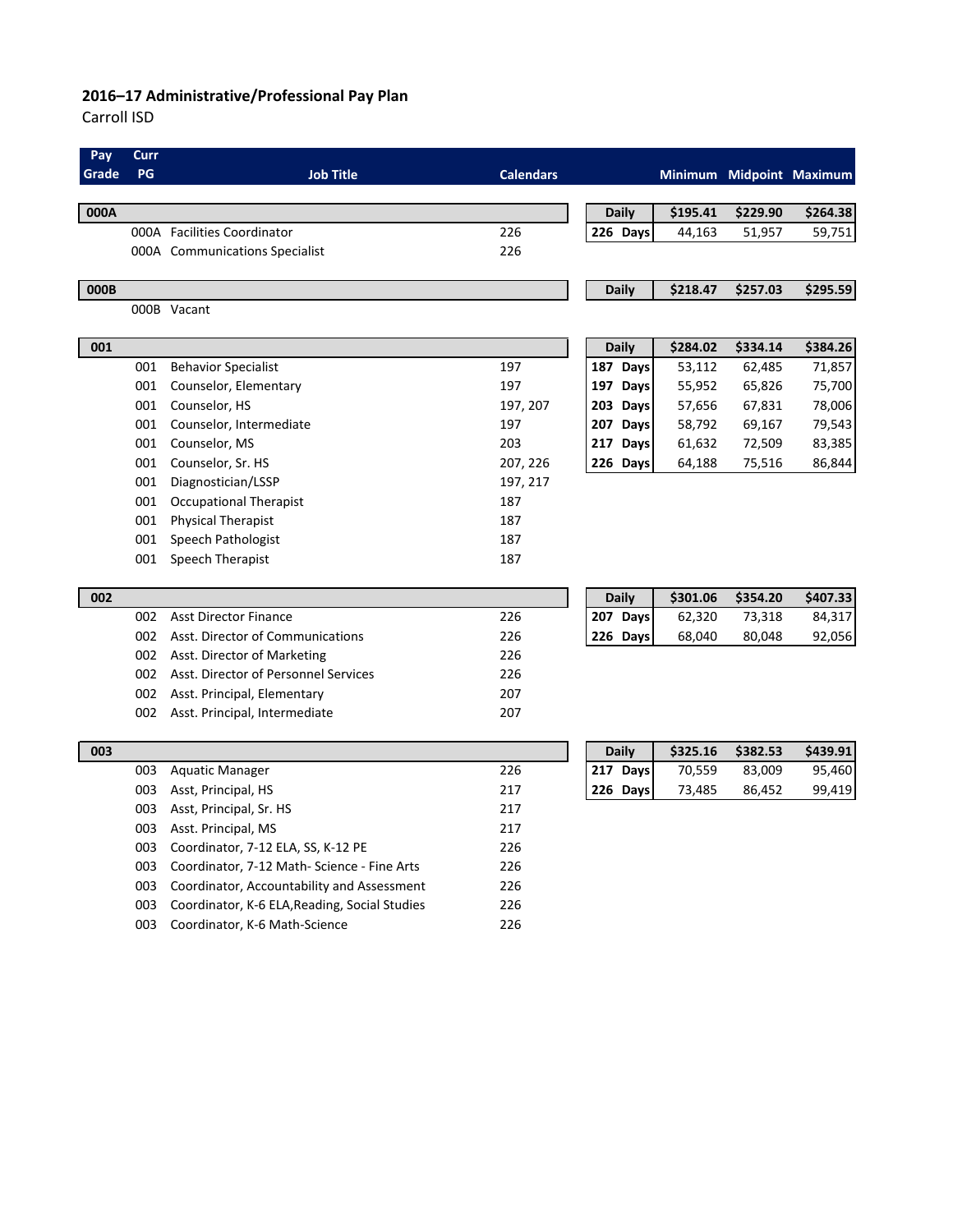#### **2016–17 Administrative/Professional Pay Plan**

Carroll ISD

| Pay   | Curr |                                               |                  |              |          |          |                          |
|-------|------|-----------------------------------------------|------------------|--------------|----------|----------|--------------------------|
| Grade | PG   | <b>Job Title</b>                              | <b>Calendars</b> |              |          |          | Minimum Midpoint Maximum |
|       |      |                                               |                  |              |          |          |                          |
| 000A  |      |                                               |                  | <b>Daily</b> | \$195.41 | \$229.90 | \$264.38                 |
|       |      | 000A Facilities Coordinator                   | 226              | 226 Days     | 44,163   | 51,957   | 59,751                   |
|       |      | 000A Communications Specialist                | 226              |              |          |          |                          |
| 000B  |      |                                               |                  | <b>Daily</b> | \$218.47 | \$257.03 | \$295.59                 |
|       |      | 000B Vacant                                   |                  |              |          |          |                          |
|       |      |                                               |                  |              |          |          |                          |
| 001   |      |                                               |                  | <b>Daily</b> | \$284.02 | \$334.14 | \$384.26                 |
|       | 001  | <b>Behavior Specialist</b>                    | 197              | 187 Days     | 53,112   | 62,485   | 71,857                   |
|       | 001  | Counselor, Elementary                         | 197              | 197 Days     | 55,952   | 65,826   | 75,700                   |
|       | 001  | Counselor, HS                                 | 197, 207         | 203 Days     | 57,656   | 67,831   | 78,006                   |
|       | 001  | Counselor, Intermediate                       | 197              | 207 Days     | 58,792   | 69,167   | 79,543                   |
|       | 001  | Counselor, MS                                 | 203              | 217 Days     | 61,632   | 72,509   | 83,385                   |
|       | 001  | Counselor, Sr. HS                             | 207, 226         | 226 Days     | 64,188   | 75,516   | 86,844                   |
|       | 001  | Diagnostician/LSSP                            | 197, 217         |              |          |          |                          |
|       | 001  | <b>Occupational Therapist</b>                 | 187              |              |          |          |                          |
|       | 001  | <b>Physical Therapist</b>                     | 187              |              |          |          |                          |
|       | 001  | Speech Pathologist                            | 187              |              |          |          |                          |
|       | 001  | Speech Therapist                              | 187              |              |          |          |                          |
| 002   |      |                                               |                  | <b>Daily</b> | \$301.06 | \$354.20 | \$407.33                 |
|       | 002  | <b>Asst Director Finance</b>                  | 226              | 207 Days     | 62,320   | 73,318   | 84,317                   |
|       | 002  | Asst. Director of Communications              | 226              | 226 Days     | 68,040   | 80,048   | 92,056                   |
|       | 002  | Asst. Director of Marketing                   | 226              |              |          |          |                          |
|       | 002  | Asst. Director of Personnel Services          | 226              |              |          |          |                          |
|       | 002  | Asst. Principal, Elementary                   | 207              |              |          |          |                          |
|       | 002  | Asst. Principal, Intermediate                 | 207              |              |          |          |                          |
|       |      |                                               |                  |              |          |          |                          |
| 003   |      |                                               |                  | <b>Daily</b> | \$325.16 | \$382.53 | \$439.91                 |
|       | 003  | <b>Aquatic Manager</b>                        | 226              | 217 Days     | 70,559   | 83,009   | 95,460                   |
|       | 003  | Asst, Principal, HS                           | 217              | 226 Days     | 73,485   | 86,452   | 99,419                   |
|       | 003  | Asst, Principal, Sr. HS                       | 217              |              |          |          |                          |
|       | 003  | Asst. Principal, MS                           | 217              |              |          |          |                          |
|       | 003  | Coordinator, 7-12 ELA, SS, K-12 PE            | 226              |              |          |          |                          |
|       | 003  | Coordinator, 7-12 Math- Science - Fine Arts   | 226              |              |          |          |                          |
|       | 003  | Coordinator, Accountability and Assessment    | 226              |              |          |          |                          |
|       | 003  | Coordinator, K-6 ELA, Reading, Social Studies | 226              |              |          |          |                          |
|       | 003  | Coordinator, K-6 Math-Science                 | 226              |              |          |          |                          |
|       |      |                                               |                  |              |          |          |                          |
|       |      |                                               |                  |              |          |          |                          |
|       |      |                                               |                  |              |          |          |                          |
|       |      |                                               |                  |              |          |          |                          |
|       |      |                                               |                  |              |          |          |                          |
|       |      |                                               |                  |              |          |          |                          |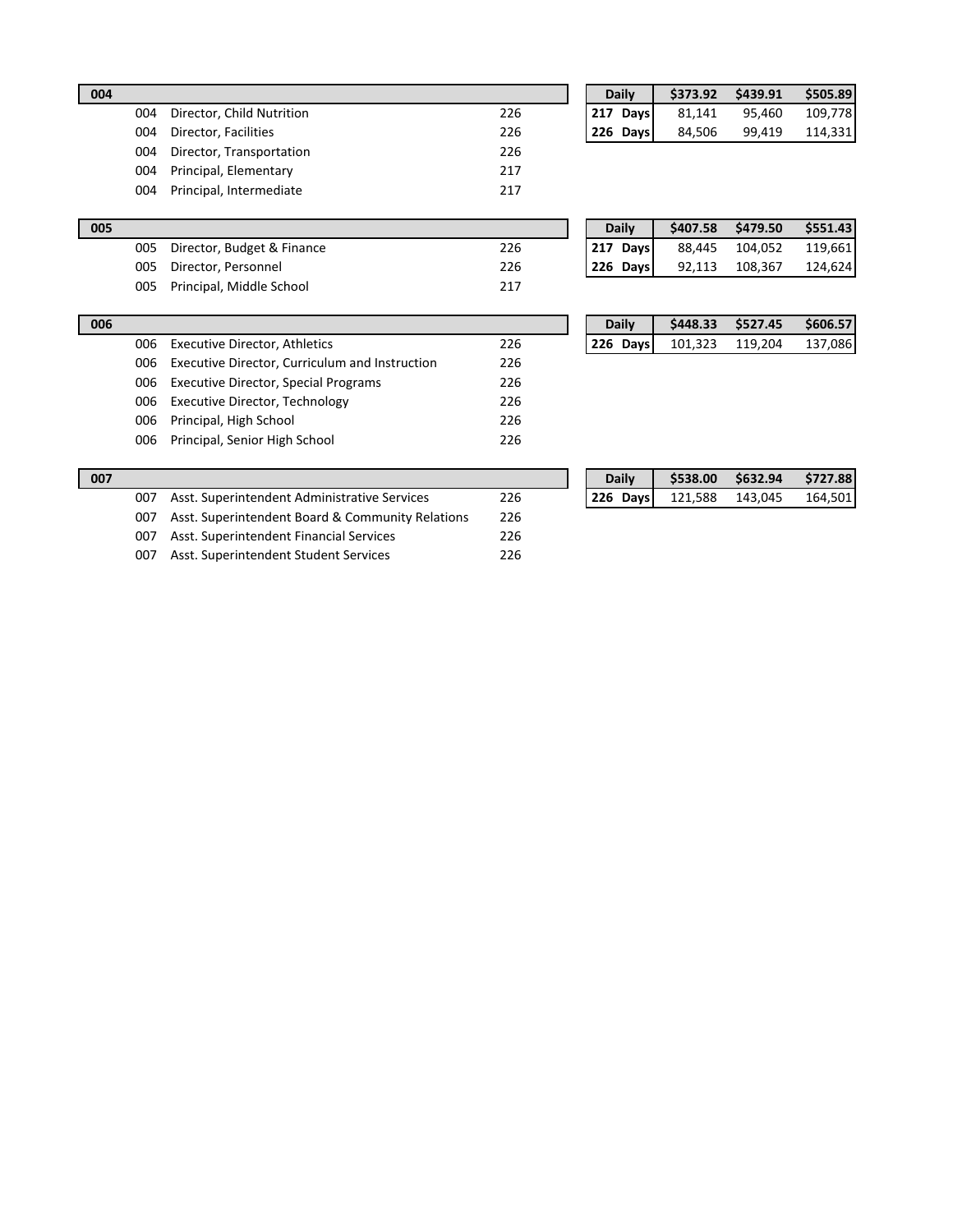| 004 |                           |     | <b>Daily</b> | \$373.92 | \$439.91 | \$505.89 |
|-----|---------------------------|-----|--------------|----------|----------|----------|
| 004 | Director, Child Nutrition | 226 | 217 Days     | 81.141   | 95.460   | 109,778  |
| 004 | Director, Facilities      | 226 | 226 Days     | 84.506   | 99.419   | 114,331  |
| 004 | Director, Transportation  | 226 |              |          |          |          |
| 004 | Principal, Elementary     | 217 |              |          |          |          |
| 004 | Principal, Intermediate   | 217 |              |          |          |          |

| <b>Daily</b> | \$373.92 | \$439.91 | \$505.89 |
|--------------|----------|----------|----------|
| $ 217$ Days  | 81,141   | 95,460   | 109,778  |
| 226 Days     | 84,506   | 99.419   | 114,331  |

| 005 |                            |     | <b>Daily</b> | \$407.58 | \$479.50 | \$551.43 |
|-----|----------------------------|-----|--------------|----------|----------|----------|
| 005 | Director, Budget & Finance | 226 | 217 Days     | 88.445   | 104,052  | 119,661  |
| 005 | Director, Personnel        | 226 | 226 Davs     | 92,113   | 108,367  | 124,624  |
| 005 | Principal, Middle School   | 217 |              |          |          |          |

|            | ____           |         |
|------------|----------------|---------|
|            |                |         |
|            |                |         |
|            |                |         |
|            |                |         |
|            |                |         |
|            |                |         |
|            |                |         |
| $226$ Days | 92,113 108,367 | 124,624 |

| 006 |     |                                                |     | <b>Daily</b> | \$448.33 | \$527.45 | \$606.57 |
|-----|-----|------------------------------------------------|-----|--------------|----------|----------|----------|
|     | 006 | Executive Director, Athletics                  | 226 | 226 Days     | 101,323  | 119.204  | 137,086  |
|     | 006 | Executive Director, Curriculum and Instruction | 226 |              |          |          |          |
|     | 006 | Executive Director, Special Programs           | 226 |              |          |          |          |
|     | 006 | Executive Director, Technology                 | 226 |              |          |          |          |
|     | 006 | Principal, High School                         | 226 |              |          |          |          |
|     | 006 | Principal, Senior High School                  | 226 |              |          |          |          |
|     |     |                                                |     |              |          |          |          |

| 007 |     |                                                  |     |  | <b>Daily</b> | \$538.00 | \$632.94 | \$727.88 |
|-----|-----|--------------------------------------------------|-----|--|--------------|----------|----------|----------|
|     | 007 | Asst. Superintendent Administrative Services     | 226 |  | 226 Days     | 121,588  | 143.045  | 164,501  |
|     | 007 | Asst. Superintendent Board & Community Relations | 226 |  |              |          |          |          |

007 Asst. Superintendent Administrative Services 226 007 Asst. Superintendent Board & Community Relations 226 007 Asst. Superintendent Financial Services 226

007 Asst. Superintendent Student Services 226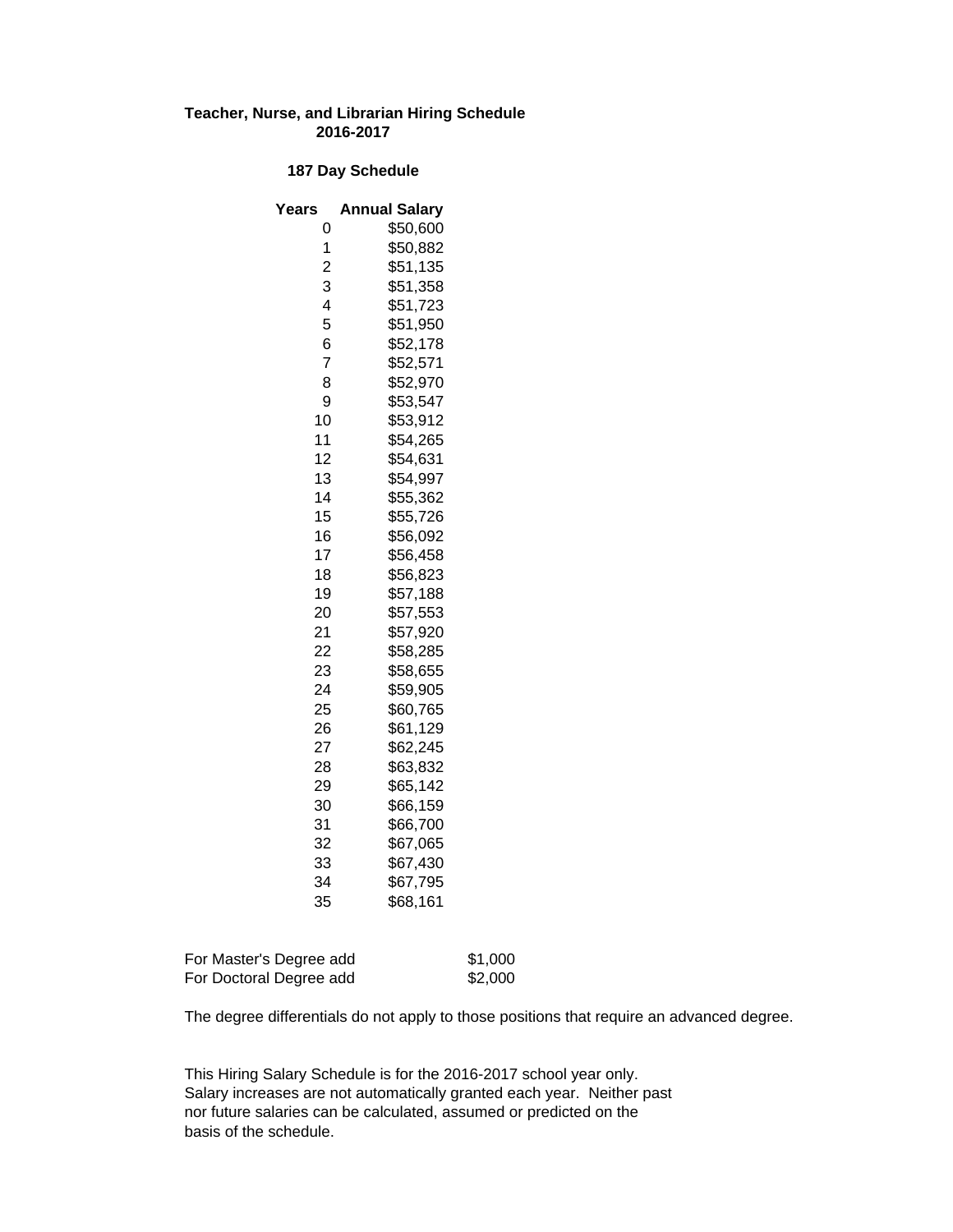#### **Teacher, Nurse, and Librarian Hiring Schedule 2016-2017**

#### **187 Day Schedule**

| Years          | <b>Annual Salary</b> |
|----------------|----------------------|
| 0              | \$50,600             |
| 1              | \$50,882             |
| $\overline{c}$ | \$51,135             |
| 3              | \$51,358             |
| 4              | \$51,723             |
| 5              | \$51,950             |
| 6              | \$52,178             |
| $\overline{7}$ | \$52,571             |
| 8              | \$52,970             |
| 9              | \$53,547             |
| 10             | \$53,912             |
| 11             | \$54,265             |
| 12             | \$54,631             |
| 13             | \$54,997             |
| 14             | \$55,362             |
| 15             | \$55,726             |
| 16             | \$56,092             |
| 17             | \$56,458             |
| 18             | \$56,823             |
| 19             | \$57,188             |
| 20             | \$57,553             |
| 21             | \$57,920             |
| 22             | \$58,285             |
| 23             | \$58,655             |
| 24             | \$59,905             |
| 25             | \$60,765             |
| 26             | \$61,129             |
| 27             | \$62,245             |
| 28             | \$63,832             |
| 29             | \$65,142             |
| 30             | \$66,159             |
| 31             | \$66,700             |
| 32             | \$67,065             |
| 33             | \$67,430             |
| 34             | \$67,795             |
| 35             | \$68,161             |

| For Master's Degree add | \$1,000 |
|-------------------------|---------|
| For Doctoral Degree add | \$2,000 |

The degree differentials do not apply to those positions that require an advanced degree.

This Hiring Salary Schedule is for the 2016-2017 school year only. Salary increases are not automatically granted each year. Neither past nor future salaries can be calculated, assumed or predicted on the basis of the schedule.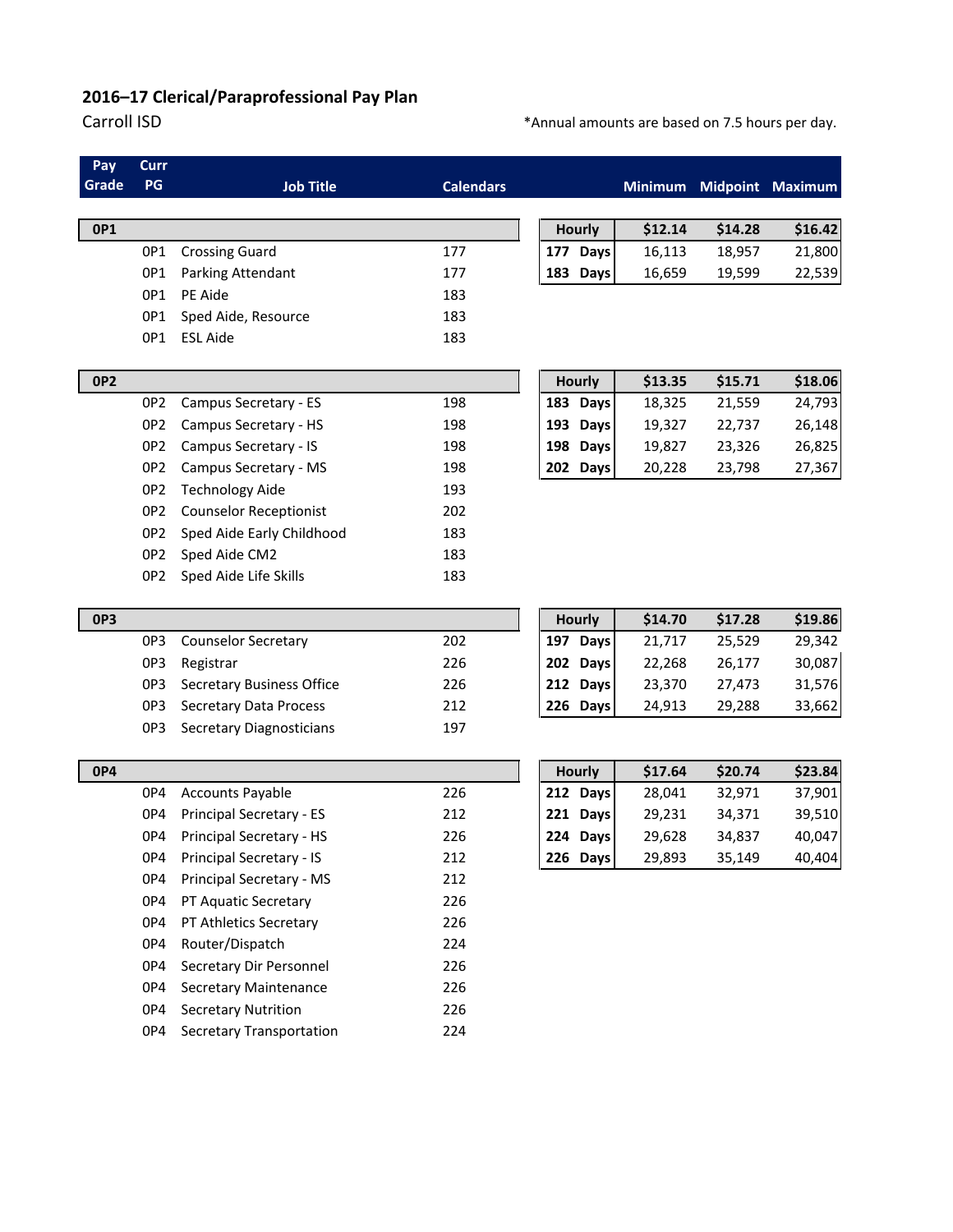# **2016–17 Clerical/Paraprofessional Pay Plan**

## Carroll ISD **Carroll ISD EXECUTE:**  $\ast$ Annual amounts are based on 7.5 hours per day.

| <b>Job Title</b>                 | <b>Calendars</b> |                    | <b>Minimum</b> |         | Midpoint Maximum |
|----------------------------------|------------------|--------------------|----------------|---------|------------------|
|                                  |                  | <b>Hourly</b>      | \$12.14        | \$14.28 | \$16.42          |
| <b>Crossing Guard</b>            | 177              | 177<br><b>Days</b> | 16,113         | 18,957  | 21,800           |
| Parking Attendant                | 177              | 183<br>Days        | 16,659         | 19,599  | 22,539           |
|                                  | 183              |                    |                |         |                  |
| Sped Aide, Resource              | 183              |                    |                |         |                  |
|                                  | 183              |                    |                |         |                  |
|                                  |                  | <b>Hourly</b>      | \$13.35        | \$15.71 | \$18.06          |
| Campus Secretary - ES            | 198              | 183<br><b>Days</b> | 18,325         | 21,559  | 24,793           |
| Campus Secretary - HS            | 198              | 193<br><b>Days</b> | 19,327         | 22,737  | 26,148           |
| Campus Secretary - IS            | 198              | 198<br><b>Days</b> | 19,827         | 23,326  | 26,825           |
| Campus Secretary - MS            | 198              | 202 Days           | 20,228         | 23,798  | 27,367           |
| <b>Technology Aide</b>           | 193              |                    |                |         |                  |
| <b>Counselor Receptionist</b>    | 202              |                    |                |         |                  |
| Sped Aide Early Childhood        | 183              |                    |                |         |                  |
| Sped Aide CM2                    | 183              |                    |                |         |                  |
| Sped Aide Life Skills            | 183              |                    |                |         |                  |
|                                  |                  | <b>Hourly</b>      | \$14.70        | \$17.28 | \$19.86          |
| <b>Counselor Secretary</b>       | 202              | 197 Days           | 21,717         | 25,529  | 29,342           |
|                                  | 226              | 202 Days           | 22,268         | 26,177  | 30,087           |
| <b>Secretary Business Office</b> | 226              | 212<br><b>Days</b> | 23,370         | 27,473  | 31,576           |
| <b>Secretary Data Process</b>    | 212              | 226 Days           | 24,913         | 29,288  | 33,662           |
| <b>Secretary Diagnosticians</b>  | 197              |                    |                |         |                  |
|                                  |                  | <b>Hourly</b>      | \$17.64        | \$20.74 | \$23.84          |
| <b>Accounts Payable</b>          | 226              | 212 Days           | 28,041         | 32,971  | 37,901           |
| <b>Principal Secretary - ES</b>  | 212              | 221 Days           | 29,231         | 34,371  | 39,510           |
| OP4 Principal Secretary - HS     | 226              | 224 Days           | 29,628         | 34,837  | 40,047           |
| Principal Secretary - IS         | 212              | 226 Days           | 29,893         | 35,149  | 40,404           |
| Principal Secretary - MS         | 212              |                    |                |         |                  |
| PT Aquatic Secretary             | 226              |                    |                |         |                  |
| PT Athletics Secretary           | 226              |                    |                |         |                  |
| Router/Dispatch                  | 224              |                    |                |         |                  |
| Secretary Dir Personnel          | 226              |                    |                |         |                  |
| <b>Secretary Maintenance</b>     | 226              |                    |                |         |                  |
| <b>Secretary Nutrition</b>       | 226              |                    |                |         |                  |
| <b>Secretary Transportation</b>  | 224              |                    |                |         |                  |
|                                  |                  |                    |                |         |                  |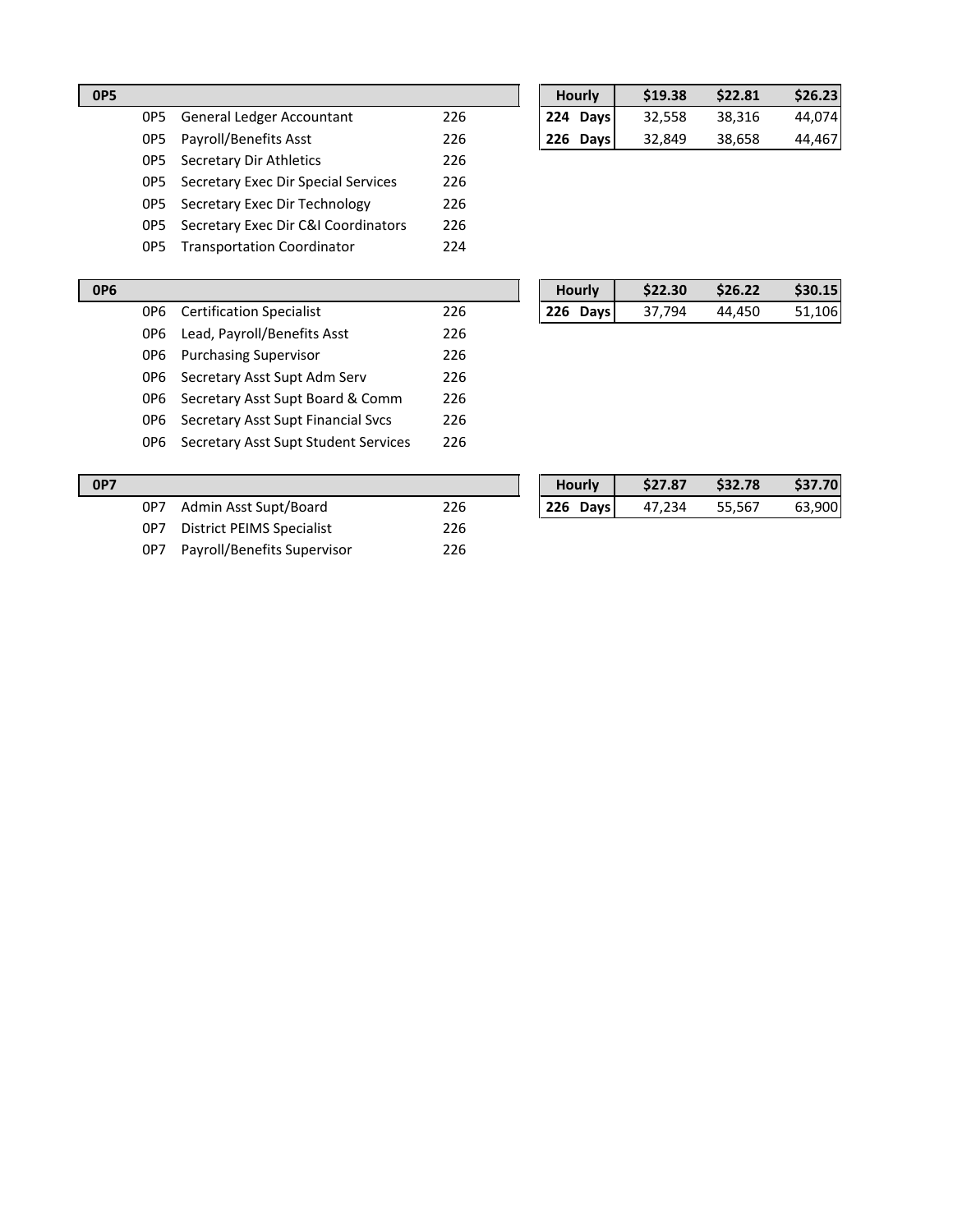|     |                                     |     | ,,,,,,,  | しエフ・コロ | しとんいし  | りムひょんぴ |
|-----|-------------------------------------|-----|----------|--------|--------|--------|
| 0P5 | <b>General Ledger Accountant</b>    | 226 | 224 Days | 32,558 | 38,316 | 44,074 |
| OP5 | Payroll/Benefits Asst               | 226 | 226 Days | 32.849 | 38,658 | 44,467 |
| OP5 | Secretary Dir Athletics             | 226 |          |        |        |        |
| 0P5 | Secretary Exec Dir Special Services | 226 |          |        |        |        |
| OP5 | Secretary Exec Dir Technology       | 226 |          |        |        |        |
| OP5 | Secretary Exec Dir C&I Coordinators | 226 |          |        |        |        |
| OP5 | <b>Transportation Coordinator</b>   | 224 |          |        |        |        |

| <b>OP5</b> |     |                                  |     | <b>Hourly</b>      | \$19.38 | \$22.81 | \$26.23 |
|------------|-----|----------------------------------|-----|--------------------|---------|---------|---------|
|            | OP5 | <b>General Ledger Accountant</b> | 226 | 224 Days           | 32,558  | 38.316  | 44.074  |
|            | OP5 | Payroll/Benefits Asst            | 226 | 226<br><b>Davs</b> | 32.849  | 38.658  | 44.467  |

| <b>OP6</b> |       |                                      |     |  | <b>Hourly</b> | \$22.30 | \$26.22 | \$30.15 |
|------------|-------|--------------------------------------|-----|--|---------------|---------|---------|---------|
|            | 0P6   | <b>Certification Specialist</b>      | 226 |  | 226 Days      | 37.794  | 44.450  | 51,106  |
|            | 0P6   | Lead, Payroll/Benefits Asst          | 226 |  |               |         |         |         |
|            | 0P6   | <b>Purchasing Supervisor</b>         | 226 |  |               |         |         |         |
|            | 0P6 - | Secretary Asst Supt Adm Serv         | 226 |  |               |         |         |         |
|            | 0P6   | Secretary Asst Supt Board & Comm     | 226 |  |               |         |         |         |
|            | 0P6 - | Secretary Asst Supt Financial Sycs   | 226 |  |               |         |         |         |
|            | 0P6 - | Secretary Asst Supt Student Services | 226 |  |               |         |         |         |
|            |       |                                      |     |  |               |         |         |         |

| <b>OP7</b> |     |                             |     | <b>Hourly</b> | \$27.87 | \$32.78 | \$37.70 |
|------------|-----|-----------------------------|-----|---------------|---------|---------|---------|
|            | 0P7 | Admin Asst Supt/Board       | 226 | 226 Days      | 47.234  | 55.567  | 63,900  |
|            | 0P7 | District PEIMS Specialist   | 226 |               |         |         |         |
|            | 0P7 | Payroll/Benefits Supervisor | 226 |               |         |         |         |

| <b>Hourly</b> | \$27.87 | \$32.78 | \$37.70 |
|---------------|---------|---------|---------|
| 226 Days      | 47.234  | 55,567  | 63,900  |
|               |         |         |         |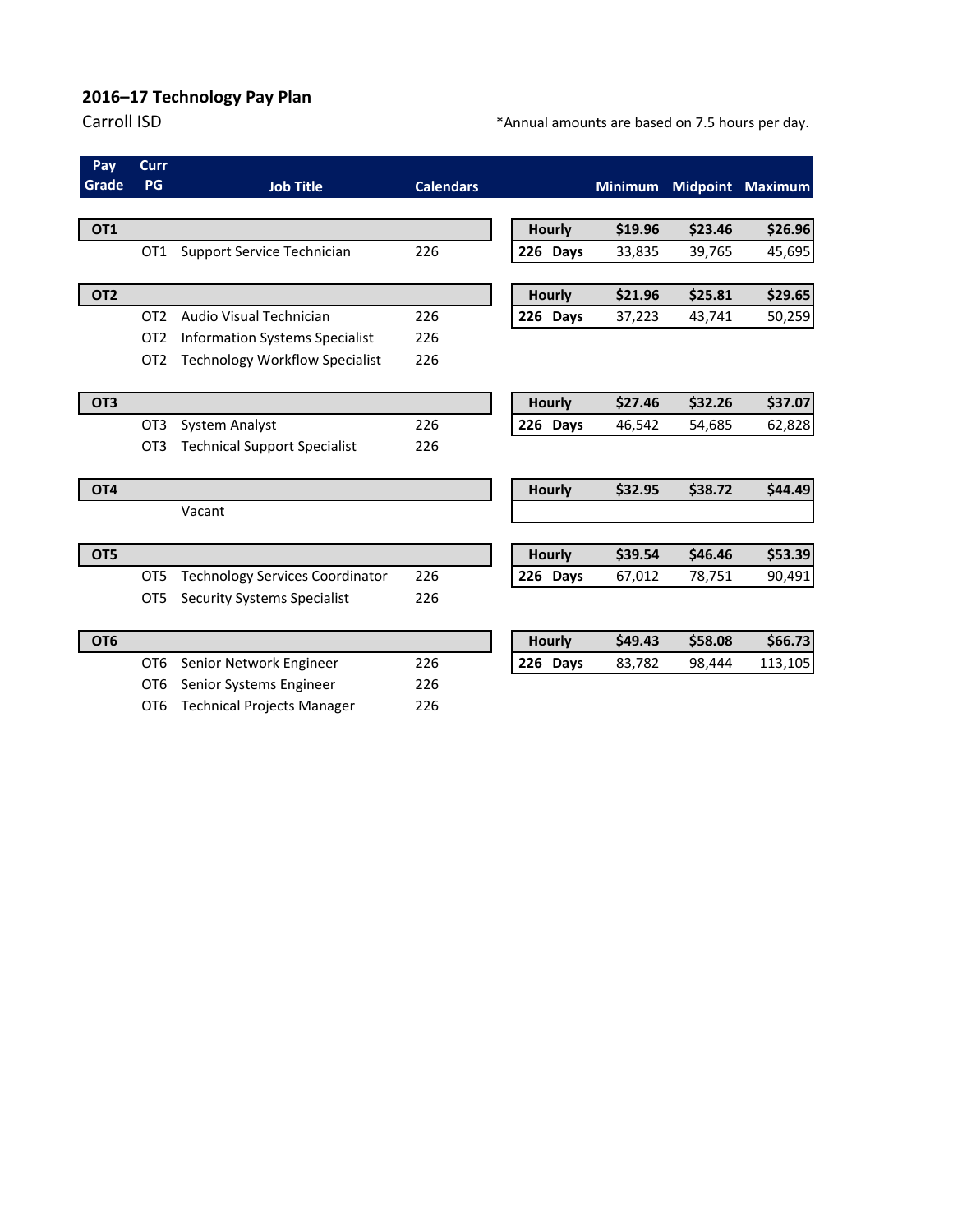# **2016–17 Technology Pay Plan**

## Carroll ISD **Carroll ISD EXECUTE:**  $*$ Annual amounts are based on 7.5 hours per day.

| Pay             | Curr            |                                        |                  |  |               |                |         |                         |
|-----------------|-----------------|----------------------------------------|------------------|--|---------------|----------------|---------|-------------------------|
| Grade           | PG              | <b>Job Title</b>                       | <b>Calendars</b> |  |               | <b>Minimum</b> |         | <b>Midpoint Maximum</b> |
|                 |                 |                                        |                  |  |               |                |         |                         |
| OT <sub>1</sub> |                 |                                        |                  |  | <b>Hourly</b> | \$19.96        | \$23.46 | \$26.96                 |
|                 | OT <sub>1</sub> | Support Service Technician             | 226              |  | 226 Days      | 33,835         | 39,765  | 45,695                  |
|                 |                 |                                        |                  |  |               |                |         |                         |
| OT <sub>2</sub> |                 |                                        |                  |  | <b>Hourly</b> | \$21.96        | \$25.81 | \$29.65                 |
|                 | OT <sub>2</sub> | Audio Visual Technician                | 226              |  | 226 Days      | 37,223         | 43,741  | 50,259                  |
|                 | OT <sub>2</sub> | <b>Information Systems Specialist</b>  | 226              |  |               |                |         |                         |
|                 | OT <sub>2</sub> | <b>Technology Workflow Specialist</b>  | 226              |  |               |                |         |                         |
| OT3             |                 |                                        |                  |  | <b>Hourly</b> | \$27.46        | \$32.26 | \$37.07                 |
|                 | OT <sub>3</sub> | <b>System Analyst</b>                  | 226              |  | 226 Days      | 46,542         | 54,685  | 62,828                  |
|                 | OT <sub>3</sub> | <b>Technical Support Specialist</b>    | 226              |  |               |                |         |                         |
| OT <sub>4</sub> |                 |                                        |                  |  | Hourly        | \$32.95        | \$38.72 | \$44.49                 |
|                 |                 | Vacant                                 |                  |  |               |                |         |                         |
| OT5             |                 |                                        |                  |  | <b>Hourly</b> | \$39.54        | \$46.46 | \$53.39                 |
|                 | OT <sub>5</sub> | <b>Technology Services Coordinator</b> | 226              |  | 226 Days      | 67,012         | 78,751  | 90,491                  |
|                 | OT <sub>5</sub> | <b>Security Systems Specialist</b>     | 226              |  |               |                |         |                         |
| OT <sub>6</sub> |                 |                                        |                  |  | <b>Hourly</b> | \$49.43        | \$58.08 | \$66.73                 |
|                 | OT <sub>6</sub> | Senior Network Engineer                | 226              |  | 226 Days      | 83,782         | 98,444  | 113,105                 |
|                 | OT <sub>6</sub> | Senior Systems Engineer                | 226              |  |               |                |         |                         |
|                 | OT <sub>6</sub> | <b>Technical Projects Manager</b>      | 226              |  |               |                |         |                         |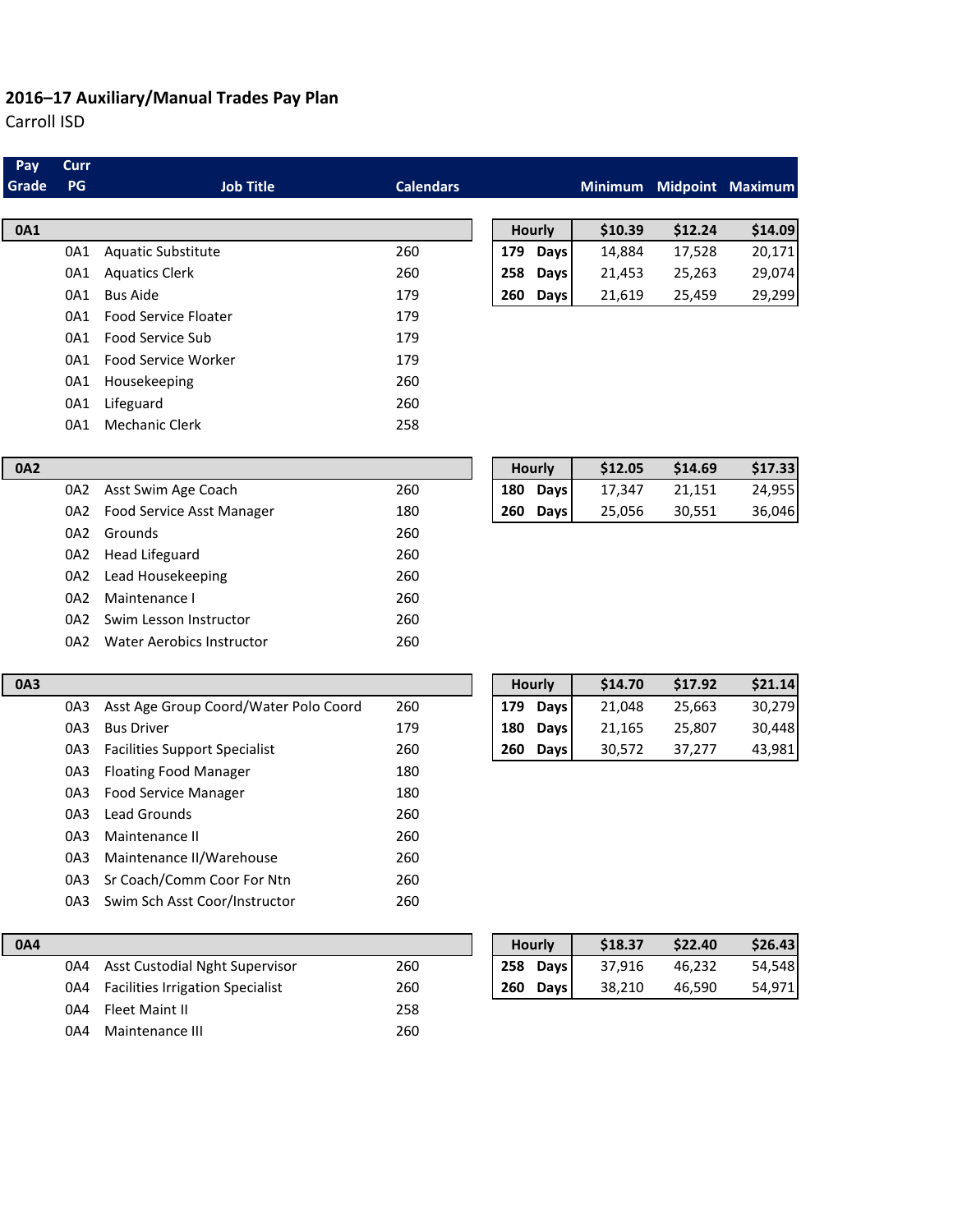# **2016–17 Auxiliary/Manual Trades Pay Plan**

Carroll ISD

| Pay<br>Grade | Curr<br>PG | <b>Job Title</b>                      | <b>Calendars</b> |     |             |         |         | Minimum Midpoint Maximum |
|--------------|------------|---------------------------------------|------------------|-----|-------------|---------|---------|--------------------------|
|              |            |                                       |                  |     |             |         |         |                          |
| 0A1          |            |                                       |                  |     | Hourly      | \$10.39 | \$12.24 | \$14.09                  |
|              | 0A1        | Aquatic Substitute                    | 260              |     | 179 Days    | 14,884  | 17,528  | 20,171                   |
|              | 0A1        | <b>Aquatics Clerk</b>                 | 260              | 258 | <b>Days</b> | 21,453  | 25,263  | 29,074                   |
|              | 0A1        | <b>Bus Aide</b>                       | 179              | 260 | <b>Days</b> | 21,619  | 25,459  | 29,299                   |
|              | 0A1        | Food Service Floater                  | 179              |     |             |         |         |                          |
|              | 0A1        | Food Service Sub                      | 179              |     |             |         |         |                          |
|              | 0A1        | Food Service Worker                   | 179              |     |             |         |         |                          |
|              | 0A1        | Housekeeping                          | 260              |     |             |         |         |                          |
|              | 0A1        | Lifeguard                             | 260              |     |             |         |         |                          |
|              | 0A1        | <b>Mechanic Clerk</b>                 | 258              |     |             |         |         |                          |
| <b>0A2</b>   |            |                                       |                  |     | Hourly      | \$12.05 | \$14.69 | \$17.33                  |
|              | 0A2        | Asst Swim Age Coach                   | 260              | 180 | <b>Days</b> | 17,347  | 21,151  | 24,955                   |
|              | 0A2        | Food Service Asst Manager             | 180              | 260 | <b>Days</b> | 25,056  | 30,551  | 36,046                   |
|              | 0A2        | Grounds                               | 260              |     |             |         |         |                          |
|              | 0A2        | <b>Head Lifeguard</b>                 | 260              |     |             |         |         |                          |
|              | 0A2        | Lead Housekeeping                     | 260              |     |             |         |         |                          |
|              | 0A2        | Maintenance I                         | 260              |     |             |         |         |                          |
|              | 0A2        | Swim Lesson Instructor                | 260              |     |             |         |         |                          |
|              | 0A2        | <b>Water Aerobics Instructor</b>      | 260              |     |             |         |         |                          |
| 0A3          |            |                                       |                  |     | Hourly      | \$14.70 | \$17.92 | \$21.14                  |
|              | 0A3        | Asst Age Group Coord/Water Polo Coord | 260              |     | 179 Days    | 21,048  | 25,663  | 30,279                   |
|              | 0A3        | <b>Bus Driver</b>                     | 179              | 180 | Days        | 21,165  | 25,807  | 30,448                   |
|              | 0A3        | <b>Facilities Support Specialist</b>  | 260              | 260 | <b>Days</b> | 30,572  | 37,277  | 43,981                   |
|              | 0A3        | <b>Floating Food Manager</b>          | 180              |     |             |         |         |                          |
|              | 0A3        | <b>Food Service Manager</b>           | 180              |     |             |         |         |                          |
|              | 0A3        | <b>Lead Grounds</b>                   | 260              |     |             |         |         |                          |
|              | 0A3        | Maintenance II                        | 260              |     |             |         |         |                          |
|              | 0A3        | Maintenance II/Warehouse              | 260              |     |             |         |         |                          |
|              | 0A3        | Sr Coach/Comm Coor For Ntn            | 260              |     |             |         |         |                          |

| 0A4 |                                      |     |     | <b>Hourly</b> | \$18.37 | \$22.40 | \$26.43 |
|-----|--------------------------------------|-----|-----|---------------|---------|---------|---------|
|     | 0A4 Asst Custodial Nght Supervisor   | 260 |     | 258 Days      | 37.916  | 46,232  | 54,548  |
|     | 0A4 Facilities Irrigation Specialist | 260 | 260 | <b>Days</b>   | 38.210  | 46.590  | 54,971  |
| 0A4 | Fleet Maint II                       | 258 |     |               |         |         |         |
| 0A4 | Maintenance III                      | 260 |     |               |         |         |         |

0A3 Swim Sch Asst Coor/Instructor 260

| Hourly        | \$18.37 | \$22.40 | \$26.43 |
|---------------|---------|---------|---------|
| 258 Days      | 37.916  | 46.232  | 54,548  |
| 260<br>Days I | 38.210  | 46.590  | 54,9711 |